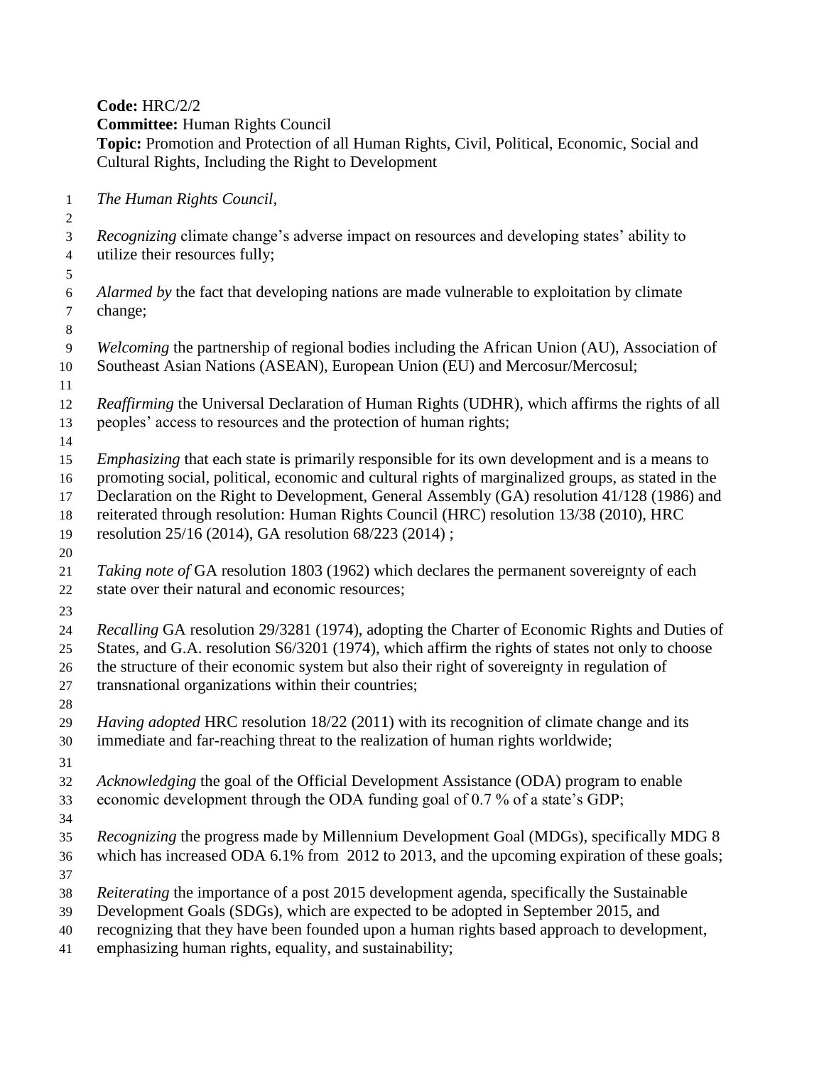**Code:** HRC/2/2

**Committee:** Human Rights Council

**Topic:** Promotion and Protection of all Human Rights, Civil, Political, Economic, Social and Cultural Rights, Including the Right to Development

 *The Human Rights Council,* 

 *Recognizing* climate change's adverse impact on resources and developing states' ability to utilize their resources fully;

 *Alarmed by* the fact that developing nations are made vulnerable to exploitation by climate change;

 *Welcoming* the partnership of regional bodies including the African Union (AU), Association of Southeast Asian Nations (ASEAN), European Union (EU) and Mercosur/Mercosul;

 *Reaffirming* the Universal Declaration of Human Rights (UDHR)*,* which affirms the rights of all peoples' access to resources and the protection of human rights;

*Emphasizing* that each state is primarily responsible for its own development and is a means to

promoting social, political, economic and cultural rights of marginalized groups, as stated in the

Declaration on the Right to Development, General Assembly (GA) resolution 41/128 (1986) and

reiterated through resolution: Human Rights Council (HRC) resolution 13/38 (2010), HRC

 resolution 25/16 (2014), GA resolution 68/223 (2014) ; 

- *Taking note of* GA resolution 1803 (1962) which declares the permanent sovereignty of each state over their natural and economic resources;
- 

 *Recalling* GA resolution 29/3281 (1974), adopting the Charter of Economic Rights and Duties of States, and G.A. resolution S6/3201 (1974), which affirm the rights of states not only to choose the structure of their economic system but also their right of sovereignty in regulation of

- transnational organizations within their countries;
- *Having adopted* HRC resolution 18/22 (2011) with its recognition of climate change and its immediate and far-reaching threat to the realization of human rights worldwide;
- 
- *Acknowledging* the goal of the Official Development Assistance (ODA) program to enable
- economic development through the ODA funding goal of 0.7 % of a state's GDP;
- 

 *Recognizing* the progress made by Millennium Development Goal (MDGs), specifically MDG 8 which has increased ODA 6.1% from 2012 to 2013, and the upcoming expiration of these goals;

- 
- *Reiterating* the importance of a post 2015 development agenda, specifically the Sustainable
- Development Goals (SDGs), which are expected to be adopted in September 2015, and
- recognizing that they have been founded upon a human rights based approach to development,
- emphasizing human rights, equality, and sustainability;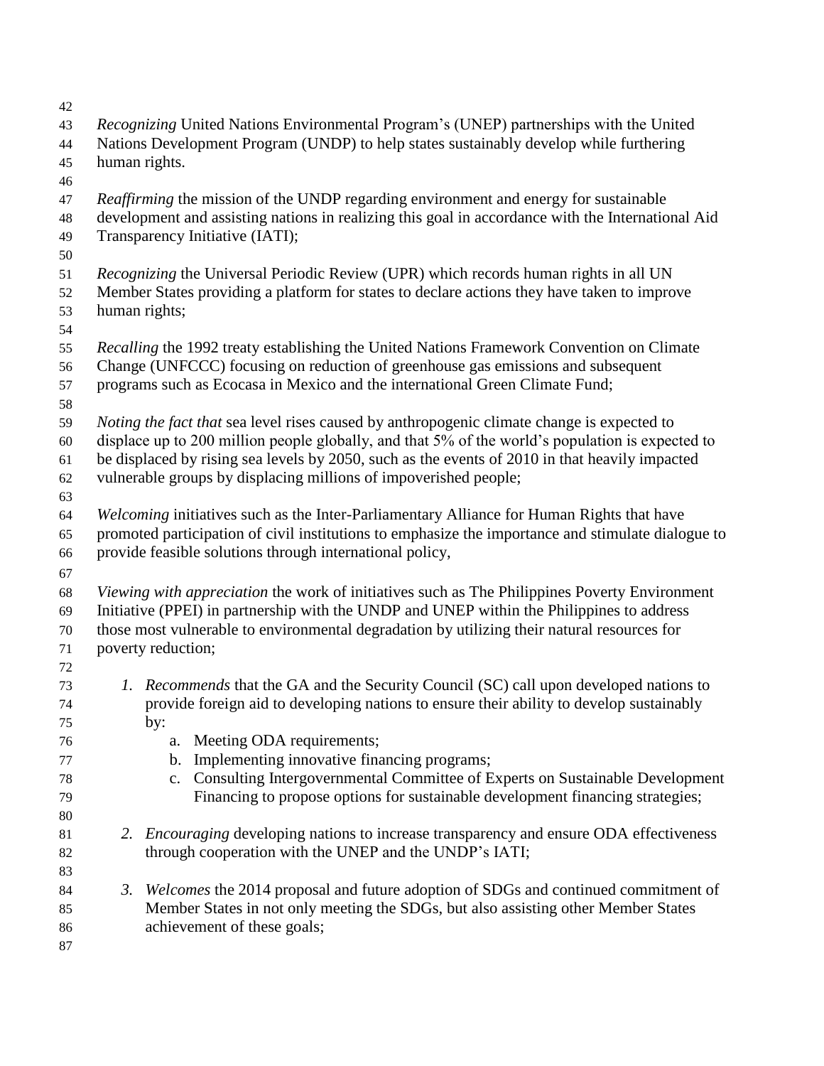*Recognizing* United Nations Environmental Program's (UNEP) partnerships with the United Nations Development Program (UNDP) to help states sustainably develop while furthering human rights. *Reaffirming* the mission of the UNDP regarding environment and energy for sustainable development and assisting nations in realizing this goal in accordance with the International Aid Transparency Initiative (IATI); *Recognizing* the Universal Periodic Review (UPR) which records human rights in all UN Member States providing a platform for states to declare actions they have taken to improve human rights; *Recalling* the 1992 treaty establishing the United Nations Framework Convention on Climate Change (UNFCCC) focusing on reduction of greenhouse gas emissions and subsequent programs such as Ecocasa in Mexico and the international Green Climate Fund; *Noting the fact that* sea level rises caused by anthropogenic climate change is expected to displace up to 200 million people globally, and that 5% of the world's population is expected to be displaced by rising sea levels by 2050, such as the events of 2010 in that heavily impacted vulnerable groups by displacing millions of impoverished people; *Welcoming* initiatives such as the Inter-Parliamentary Alliance for Human Rights that have promoted participation of civil institutions to emphasize the importance and stimulate dialogue to provide feasible solutions through international policy, *Viewing with appreciation* the work of initiatives such as The Philippines Poverty Environment Initiative (PPEI) in partnership with the UNDP and UNEP within the Philippines to address those most vulnerable to environmental degradation by utilizing their natural resources for poverty reduction; *1. Recommends* that the GA and the Security Council (SC) call upon developed nations to provide foreign aid to developing nations to ensure their ability to develop sustainably by: a. Meeting ODA requirements; b. Implementing innovative financing programs; c. Consulting Intergovernmental Committee of Experts on Sustainable Development Financing to propose options for sustainable development financing strategies; *2. Encouraging* developing nations to increase transparency and ensure ODA effectiveness 82 through cooperation with the UNEP and the UNDP's IATI; *3. Welcomes* the 2014 proposal and future adoption of SDGs and continued commitment of Member States in not only meeting the SDGs, but also assisting other Member States achievement of these goals;